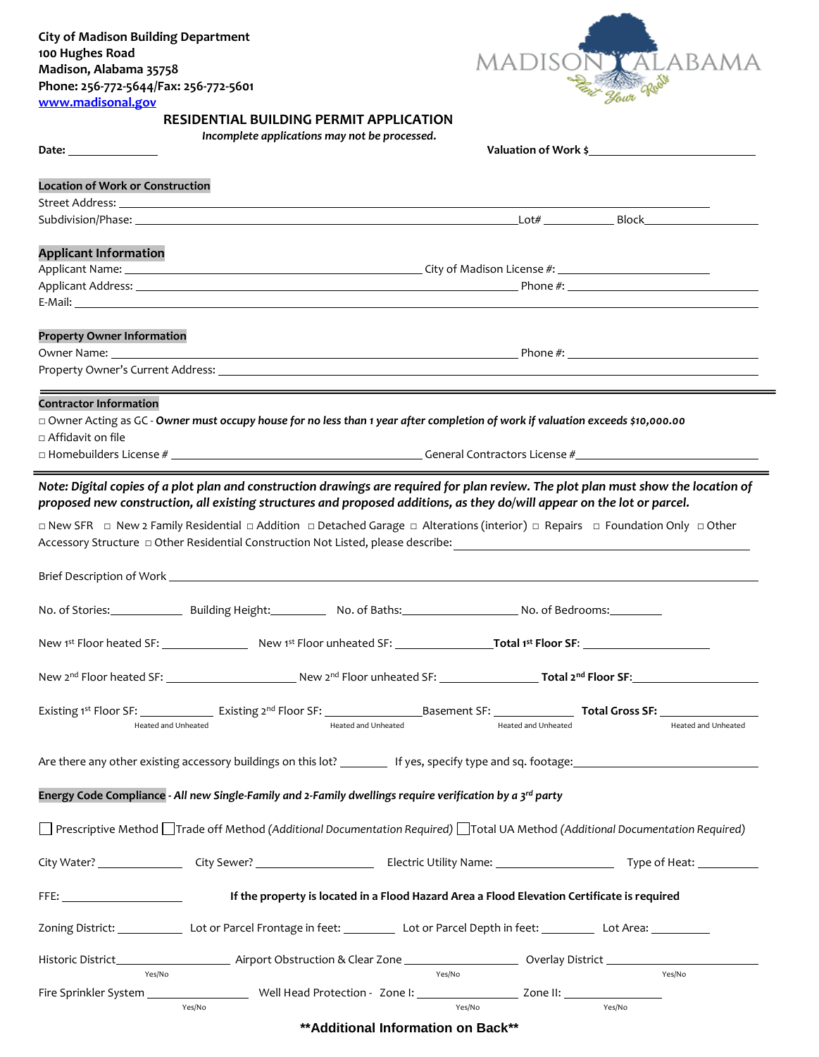

## **RESIDENTIAL BUILDING PERMIT APPLICATION**

*Incomplete applications may not be processed***.** 

| Date: the contract of the contract of the contract of the contract of the contract of the contract of the contract of the contract of the contract of the contract of the contract of the contract of the contract of the cont | Valuation of Work \$                                                                                                                                                                                                                                                                                                                                                                             |
|--------------------------------------------------------------------------------------------------------------------------------------------------------------------------------------------------------------------------------|--------------------------------------------------------------------------------------------------------------------------------------------------------------------------------------------------------------------------------------------------------------------------------------------------------------------------------------------------------------------------------------------------|
| <b>Location of Work or Construction</b>                                                                                                                                                                                        |                                                                                                                                                                                                                                                                                                                                                                                                  |
|                                                                                                                                                                                                                                |                                                                                                                                                                                                                                                                                                                                                                                                  |
|                                                                                                                                                                                                                                | Subdivision/Phase: Block Block Block Block Block Block Block Block Block Block Block Block Block Block Block Block Block Block Block Block Block Block Block Block Block Block Block Block Block Block Block Block Block Block                                                                                                                                                                   |
|                                                                                                                                                                                                                                |                                                                                                                                                                                                                                                                                                                                                                                                  |
| <b>Applicant Information</b>                                                                                                                                                                                                   |                                                                                                                                                                                                                                                                                                                                                                                                  |
|                                                                                                                                                                                                                                |                                                                                                                                                                                                                                                                                                                                                                                                  |
|                                                                                                                                                                                                                                |                                                                                                                                                                                                                                                                                                                                                                                                  |
| <b>Property Owner Information</b>                                                                                                                                                                                              |                                                                                                                                                                                                                                                                                                                                                                                                  |
|                                                                                                                                                                                                                                |                                                                                                                                                                                                                                                                                                                                                                                                  |
|                                                                                                                                                                                                                                |                                                                                                                                                                                                                                                                                                                                                                                                  |
| <b>Contractor Information</b>                                                                                                                                                                                                  |                                                                                                                                                                                                                                                                                                                                                                                                  |
|                                                                                                                                                                                                                                | □ Owner Acting as GC - Owner must occupy house for no less than 1 year after completion of work if valuation exceeds \$10,000.00                                                                                                                                                                                                                                                                 |
| □ Affidavit on file                                                                                                                                                                                                            |                                                                                                                                                                                                                                                                                                                                                                                                  |
|                                                                                                                                                                                                                                |                                                                                                                                                                                                                                                                                                                                                                                                  |
|                                                                                                                                                                                                                                | Note: Digital copies of a plot plan and construction drawings are required for plan review. The plot plan must show the location of<br>proposed new construction, all existing structures and proposed additions, as they do/will appear on the lot or parcel.<br>□ New SFR □ New 2 Family Residential □ Addition □ Detached Garage □ Alterations (interior) □ Repairs □ Foundation Only □ Other |
|                                                                                                                                                                                                                                |                                                                                                                                                                                                                                                                                                                                                                                                  |
|                                                                                                                                                                                                                                |                                                                                                                                                                                                                                                                                                                                                                                                  |
|                                                                                                                                                                                                                                |                                                                                                                                                                                                                                                                                                                                                                                                  |
|                                                                                                                                                                                                                                |                                                                                                                                                                                                                                                                                                                                                                                                  |
|                                                                                                                                                                                                                                | New 1st Floor heated SF: New 1st Floor unheated SF: New 1st Floor SF: New 1st Floor SF:                                                                                                                                                                                                                                                                                                          |
|                                                                                                                                                                                                                                | New 2nd Floor heated SF: New 2nd Floor unheated SF: Total 2nd Floor SF: New 2nd Floor SF:                                                                                                                                                                                                                                                                                                        |
|                                                                                                                                                                                                                                |                                                                                                                                                                                                                                                                                                                                                                                                  |
| Heated and Unheated                                                                                                                                                                                                            | Heated and Unheated<br>Heated and Unheated<br>Heated and Unheated                                                                                                                                                                                                                                                                                                                                |
|                                                                                                                                                                                                                                | Are there any other existing accessory buildings on this lot? __________ If yes, specify type and sq. footage: ________________________                                                                                                                                                                                                                                                          |
|                                                                                                                                                                                                                                | Energy Code Compliance - All new Single-Family and 2-Family dwellings require verification by a 3rd party                                                                                                                                                                                                                                                                                        |
|                                                                                                                                                                                                                                |                                                                                                                                                                                                                                                                                                                                                                                                  |
|                                                                                                                                                                                                                                | □ Prescriptive Method □ Trade off Method (Additional Documentation Required) □ Total UA Method (Additional Documentation Required)                                                                                                                                                                                                                                                               |
|                                                                                                                                                                                                                                |                                                                                                                                                                                                                                                                                                                                                                                                  |
|                                                                                                                                                                                                                                | If the property is located in a Flood Hazard Area a Flood Elevation Certificate is required                                                                                                                                                                                                                                                                                                      |
|                                                                                                                                                                                                                                | Zoning District: ________________ Lot or Parcel Frontage in feet: ______________ Lot or Parcel Depth in feet: ______________ Lot Area: ____________                                                                                                                                                                                                                                              |
|                                                                                                                                                                                                                                | <b>National Accord Accord Accord Accord Accord Accord Accord Accord Accord Accord Accord Accord Accord Accord Acco</b>                                                                                                                                                                                                                                                                           |
| FFE: All and the state of the state of the<br>Historic District__<br>Yes/No                                                                                                                                                    | Yes/No<br>Yes/No                                                                                                                                                                                                                                                                                                                                                                                 |